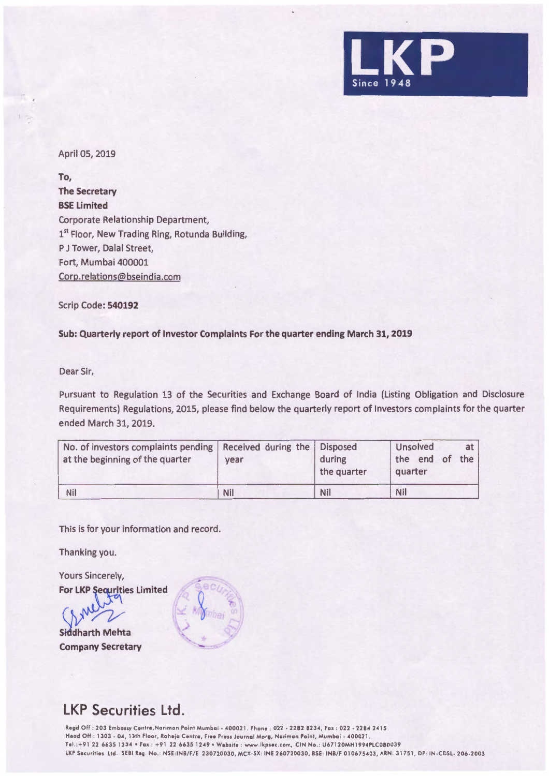

## April 05, 2019

**To, The Secretary BSE Limited**  Corporate Relationship Department, 1st Floor, New Trading Ring, Rotunda Building, P J Tower, Dalal Street, Fort, Mumbai 400001 Corp.relations@bseindia.com

Scrip Code: **540192** 

## **Sub: Quarterly report of Investor Complaints For the quarter ending March 31, 2019**

Dear Sir,

Pursuant to Regulation 13 of the Securities and Exchange Board of India (Listing Obligation and Disclosure Requirements) Regulations, 2015, please find below the quarterly report of Investors complaints for the quarter ended March 31, 2019.

| No. of investors complaints pending   Received during the   Disposed<br>at the beginning of the quarter | vear | during<br>the quarter | Unsolved<br>at <sub>1</sub><br>the end of<br>the i<br>quarter |
|---------------------------------------------------------------------------------------------------------|------|-----------------------|---------------------------------------------------------------|
| <b>Nil</b>                                                                                              | Nil  | Nil                   | Nil                                                           |

This is for your information and record.

Thanking you.

**Yours Sincerely, For LKP Sequrities Limited** 

Siddharth Mehta **Company Secretary** 



## **LKP Securities Ltd.**

Regd Off : 203 Embassy Centre,Norimon Point Mumbai - 400021 . Phone : 022 - 2282 8234 , Fox : 022 - 2284 2415 Head Off : 1303 - 04 , 13th Floor, Raheja Centre , Free Press Journal Marg , Norimon Point, Mumbai - 400021 . Tel.:+91 22 6635 1234 • Fax : +91 22 6635 1249 • Website : www.lkpsec.com, CIN No.: U67120MH1994PLC080039 LKP Securities Ltd. SEBI Reg. No.: NSE:INB/F/E 230720030, MCX-SX: INE 260720030, BSE: INB/F 010675433, ARN: 31751, DP: IN-CDSL- 206-2003